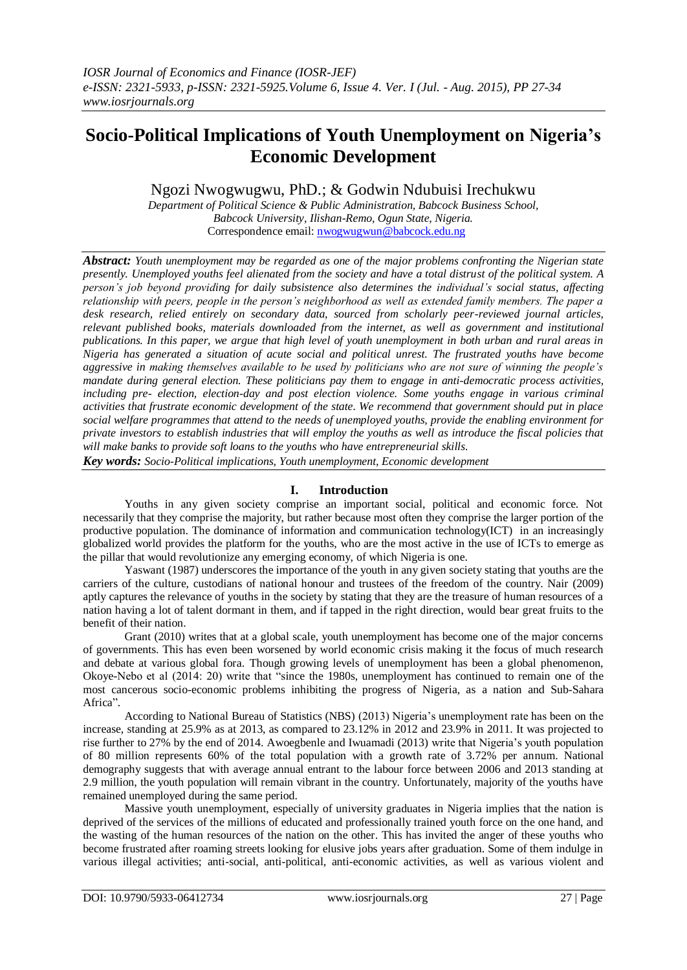# **Socio-Political Implications of Youth Unemployment on Nigeria's Economic Development**

## Ngozi Nwogwugwu, PhD.; & Godwin Ndubuisi Irechukwu

*Department of Political Science & Public Administration, Babcock Business School, Babcock University, Ilishan-Remo, Ogun State, Nigeria.* Correspondence email: [nwogwugwun@babcock.edu.ng](mailto:nwogwugwun@babcock.edu.ng)

*Abstract: Youth unemployment may be regarded as one of the major problems confronting the Nigerian state presently. Unemployed youths feel alienated from the society and have a total distrust of the political system. A person's job beyond providing for daily subsistence also determines the individual's social status, affecting relationship with peers, people in the person's neighborhood as well as extended family members. The paper a desk research, relied entirely on secondary data, sourced from scholarly peer-reviewed journal articles, relevant published books, materials downloaded from the internet, as well as government and institutional publications. In this paper, we argue that high level of youth unemployment in both urban and rural areas in Nigeria has generated a situation of acute social and political unrest. The frustrated youths have become aggressive in making themselves available to be used by politicians who are not sure of winning the people's mandate during general election. These politicians pay them to engage in anti-democratic process activities, including pre- election, election-day and post election violence. Some youths engage in various criminal activities that frustrate economic development of the state. We recommend that government should put in place social welfare programmes that attend to the needs of unemployed youths, provide the enabling environment for private investors to establish industries that will employ the youths as well as introduce the fiscal policies that will make banks to provide soft loans to the youths who have entrepreneurial skills.*

*Key words: Socio-Political implications, Youth unemployment, Economic development*

#### **I. Introduction**

Youths in any given society comprise an important social, political and economic force. Not necessarily that they comprise the majority, but rather because most often they comprise the larger portion of the productive population. The dominance of information and communication technology(ICT) in an increasingly globalized world provides the platform for the youths, who are the most active in the use of ICTs to emerge as the pillar that would revolutionize any emerging economy, of which Nigeria is one.

Yaswant (1987) underscores the importance of the youth in any given society stating that youths are the carriers of the culture, custodians of national honour and trustees of the freedom of the country. Nair (2009) aptly captures the relevance of youths in the society by stating that they are the treasure of human resources of a nation having a lot of talent dormant in them, and if tapped in the right direction, would bear great fruits to the benefit of their nation.

Grant (2010) writes that at a global scale, youth unemployment has become one of the major concerns of governments. This has even been worsened by world economic crisis making it the focus of much research and debate at various global fora. Though growing levels of unemployment has been a global phenomenon, Okoye-Nebo et al (2014: 20) write that "since the 1980s, unemployment has continued to remain one of the most cancerous socio-economic problems inhibiting the progress of Nigeria, as a nation and Sub-Sahara Africa".

According to National Bureau of Statistics (NBS) (2013) Nigeria"s unemployment rate has been on the increase, standing at 25.9% as at 2013, as compared to 23.12% in 2012 and 23.9% in 2011. It was projected to rise further to 27% by the end of 2014. Awoegbenle and Iwuamadi (2013) write that Nigeria"s youth population of 80 million represents 60% of the total population with a growth rate of 3.72% per annum. National demography suggests that with average annual entrant to the labour force between 2006 and 2013 standing at 2.9 million, the youth population will remain vibrant in the country. Unfortunately, majority of the youths have remained unemployed during the same period.

Massive youth unemployment, especially of university graduates in Nigeria implies that the nation is deprived of the services of the millions of educated and professionally trained youth force on the one hand, and the wasting of the human resources of the nation on the other. This has invited the anger of these youths who become frustrated after roaming streets looking for elusive jobs years after graduation. Some of them indulge in various illegal activities; anti-social, anti-political, anti-economic activities, as well as various violent and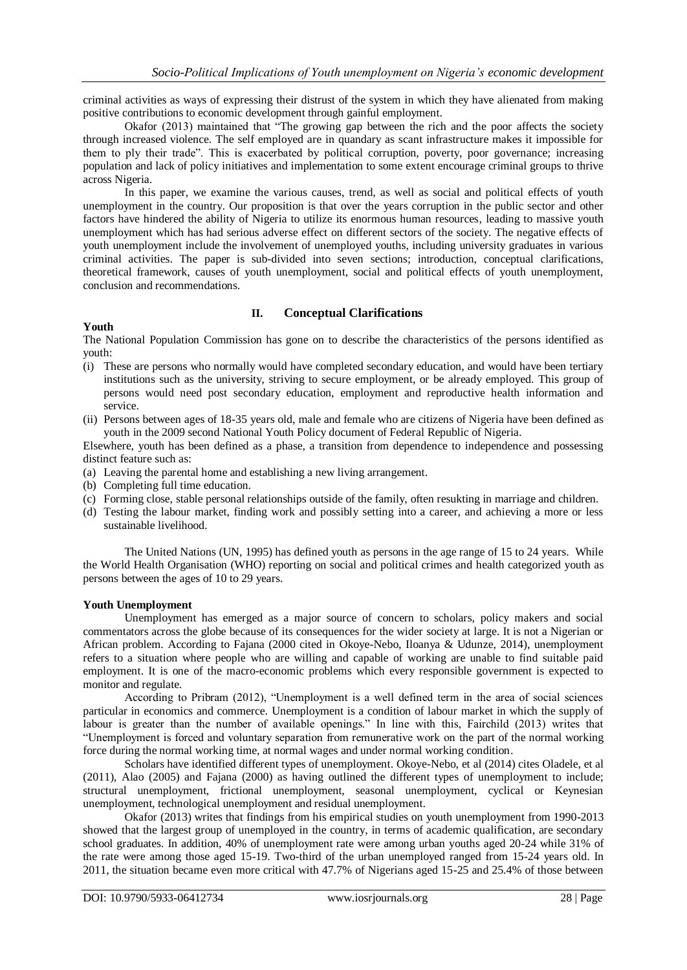criminal activities as ways of expressing their distrust of the system in which they have alienated from making positive contributions to economic development through gainful employment.

Okafor (2013) maintained that "The growing gap between the rich and the poor affects the society through increased violence. The self employed are in quandary as scant infrastructure makes it impossible for them to ply their trade". This is exacerbated by political corruption, poverty, poor governance; increasing population and lack of policy initiatives and implementation to some extent encourage criminal groups to thrive across Nigeria.

In this paper, we examine the various causes, trend, as well as social and political effects of youth unemployment in the country. Our proposition is that over the years corruption in the public sector and other factors have hindered the ability of Nigeria to utilize its enormous human resources, leading to massive youth unemployment which has had serious adverse effect on different sectors of the society. The negative effects of youth unemployment include the involvement of unemployed youths, including university graduates in various criminal activities. The paper is sub-divided into seven sections; introduction, conceptual clarifications, theoretical framework, causes of youth unemployment, social and political effects of youth unemployment, conclusion and recommendations.

## **II. Conceptual Clarifications**

### **Youth**

The National Population Commission has gone on to describe the characteristics of the persons identified as youth:

- (i) These are persons who normally would have completed secondary education, and would have been tertiary institutions such as the university, striving to secure employment, or be already employed. This group of persons would need post secondary education, employment and reproductive health information and service.
- (ii) Persons between ages of 18-35 years old, male and female who are citizens of Nigeria have been defined as youth in the 2009 second National Youth Policy document of Federal Republic of Nigeria.

Elsewhere, youth has been defined as a phase, a transition from dependence to independence and possessing distinct feature such as:

- (a) Leaving the parental home and establishing a new living arrangement.
- (b) Completing full time education.
- (c) Forming close, stable personal relationships outside of the family, often resukting in marriage and children.
- (d) Testing the labour market, finding work and possibly setting into a career, and achieving a more or less sustainable livelihood.

The United Nations (UN, 1995) has defined youth as persons in the age range of 15 to 24 years. While the World Health Organisation (WHO) reporting on social and political crimes and health categorized youth as persons between the ages of 10 to 29 years.

#### **Youth Unemployment**

Unemployment has emerged as a major source of concern to scholars, policy makers and social commentators across the globe because of its consequences for the wider society at large. It is not a Nigerian or African problem. According to Fajana (2000 cited in Okoye-Nebo, Iloanya & Udunze, 2014), unemployment refers to a situation where people who are willing and capable of working are unable to find suitable paid employment. It is one of the macro-economic problems which every responsible government is expected to monitor and regulate.

According to Pribram (2012), "Unemployment is a well defined term in the area of social sciences particular in economics and commerce. Unemployment is a condition of labour market in which the supply of labour is greater than the number of available openings." In line with this, Fairchild (2013) writes that "Unemployment is forced and voluntary separation from remunerative work on the part of the normal working force during the normal working time, at normal wages and under normal working condition.

Scholars have identified different types of unemployment. Okoye-Nebo, et al (2014) cites Oladele, et al (2011), Alao (2005) and Fajana (2000) as having outlined the different types of unemployment to include; structural unemployment, frictional unemployment, seasonal unemployment, cyclical or Keynesian unemployment, technological unemployment and residual unemployment.

Okafor (2013) writes that findings from his empirical studies on youth unemployment from 1990-2013 showed that the largest group of unemployed in the country, in terms of academic qualification, are secondary school graduates. In addition, 40% of unemployment rate were among urban youths aged 20-24 while 31% of the rate were among those aged 15-19. Two-third of the urban unemployed ranged from 15-24 years old. In 2011, the situation became even more critical with 47.7% of Nigerians aged 15-25 and 25.4% of those between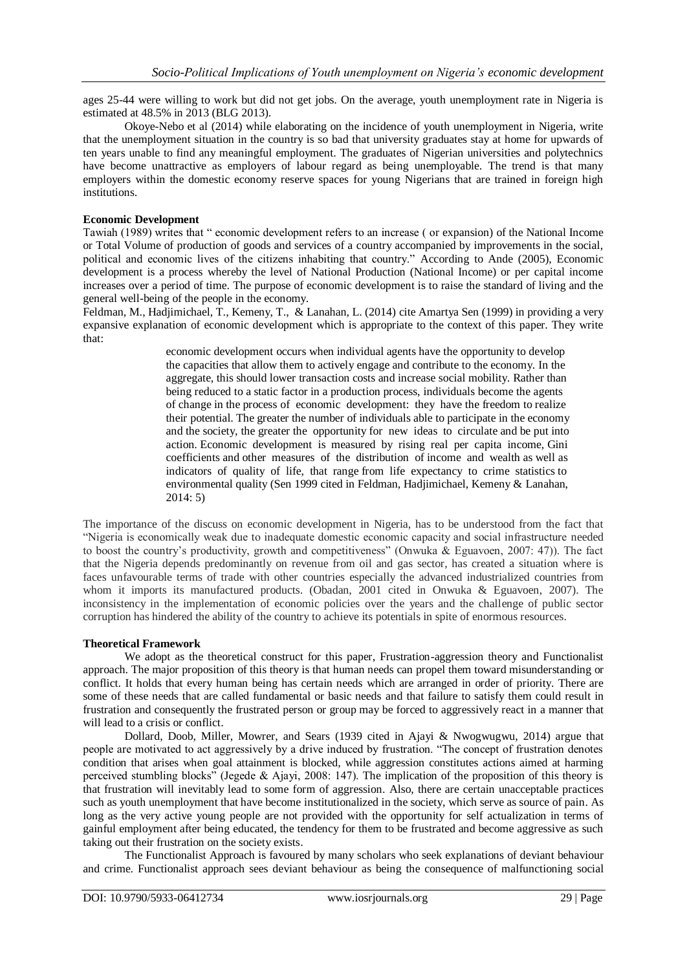ages 25-44 were willing to work but did not get jobs. On the average, youth unemployment rate in Nigeria is estimated at 48.5% in 2013 (BLG 2013).

Okoye-Nebo et al (2014) while elaborating on the incidence of youth unemployment in Nigeria, write that the unemployment situation in the country is so bad that university graduates stay at home for upwards of ten years unable to find any meaningful employment. The graduates of Nigerian universities and polytechnics have become unattractive as employers of labour regard as being unemployable. The trend is that many employers within the domestic economy reserve spaces for young Nigerians that are trained in foreign high institutions.

### **Economic Development**

Tawiah (1989) writes that " economic development refers to an increase ( or expansion) of the National Income or Total Volume of production of goods and services of a country accompanied by improvements in the social, political and economic lives of the citizens inhabiting that country." According to Ande (2005), Economic development is a process whereby the level of National Production (National Income) or per capital income increases over a period of time. The purpose of economic development is to raise the standard of living and the general well-being of the people in the economy.

Feldman, M., Hadjimichael, T., Kemeny, T., & Lanahan, L. (2014) cite Amartya Sen (1999) in providing a very expansive explanation of economic development which is appropriate to the context of this paper. They write that:

> economic development occurs when individual agents have the opportunity to develop the capacities that allow them to actively engage and contribute to the economy. In the aggregate, this should lower transaction costs and increase social mobility. Rather than being reduced to a static factor in a production process, individuals become the agents of change in the process of economic development: they have the freedom to realize their potential. The greater the number of individuals able to participate in the economy and the society, the greater the opportunity for new ideas to circulate and be put into action. Economic development is measured by rising real per capita income, Gini coefficients and other measures of the distribution of income and wealth as well as indicators of quality of life, that range from life expectancy to crime statistics to environmental quality (Sen 1999 cited in Feldman, Hadjimichael, Kemeny & Lanahan, 2014: 5)

The importance of the discuss on economic development in Nigeria, has to be understood from the fact that "Nigeria is economically weak due to inadequate domestic economic capacity and social infrastructure needed to boost the country's productivity, growth and competitiveness" (Onwuka & Eguavoen, 2007: 47)). The fact that the Nigeria depends predominantly on revenue from oil and gas sector, has created a situation where is faces unfavourable terms of trade with other countries especially the advanced industrialized countries from whom it imports its manufactured products. (Obadan, 2001 cited in Onwuka & Eguavoen, 2007). The inconsistency in the implementation of economic policies over the years and the challenge of public sector corruption has hindered the ability of the country to achieve its potentials in spite of enormous resources.

## **Theoretical Framework**

We adopt as the theoretical construct for this paper, Frustration-aggression theory and Functionalist approach. The major proposition of this theory is that human needs can propel them toward misunderstanding or conflict. It holds that every human being has certain needs which are arranged in order of priority. There are some of these needs that are called fundamental or basic needs and that failure to satisfy them could result in frustration and consequently the frustrated person or group may be forced to aggressively react in a manner that will lead to a crisis or conflict.

Dollard, Doob, Miller, Mowrer, and Sears (1939 cited in Ajayi & Nwogwugwu, 2014) argue that people are motivated to act aggressively by a drive induced by frustration. "The concept of frustration denotes condition that arises when goal attainment is blocked, while aggression constitutes actions aimed at harming perceived stumbling blocks" (Jegede & Ajayi, 2008: 147). The implication of the proposition of this theory is that frustration will inevitably lead to some form of aggression. Also, there are certain unacceptable practices such as youth unemployment that have become institutionalized in the society, which serve as source of pain. As long as the very active young people are not provided with the opportunity for self actualization in terms of gainful employment after being educated, the tendency for them to be frustrated and become aggressive as such taking out their frustration on the society exists.

The Functionalist Approach is favoured by many scholars who seek explanations of deviant behaviour and crime. Functionalist approach sees deviant behaviour as being the consequence of malfunctioning social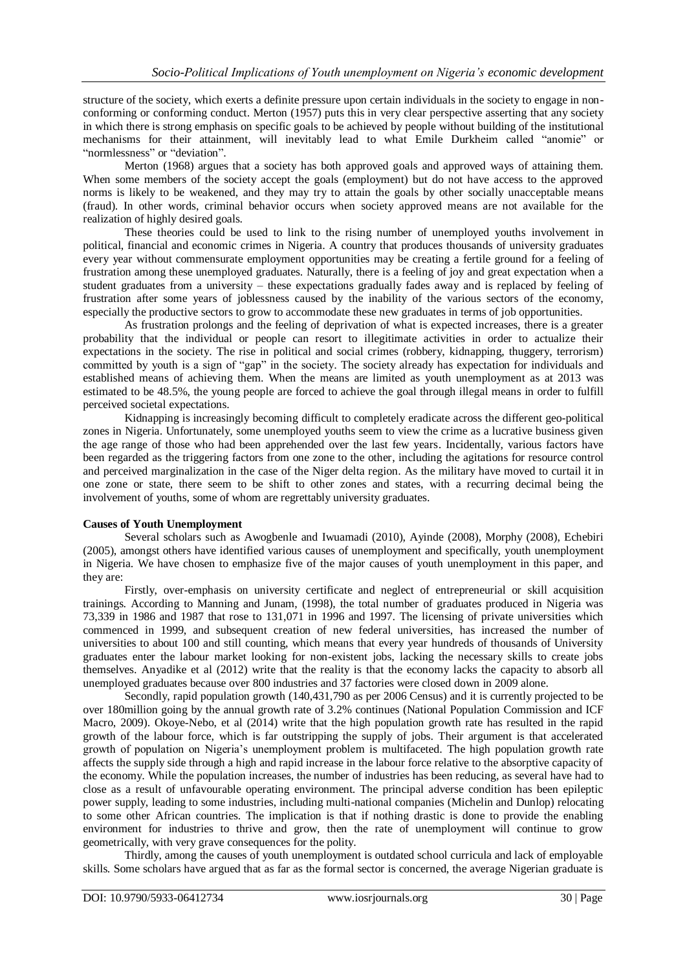structure of the society, which exerts a definite pressure upon certain individuals in the society to engage in nonconforming or conforming conduct. Merton (1957) puts this in very clear perspective asserting that any society in which there is strong emphasis on specific goals to be achieved by people without building of the institutional mechanisms for their attainment, will inevitably lead to what Emile Durkheim called "anomie" or "normlessness" or "deviation".

Merton (1968) argues that a society has both approved goals and approved ways of attaining them. When some members of the society accept the goals (employment) but do not have access to the approved norms is likely to be weakened, and they may try to attain the goals by other socially unacceptable means (fraud). In other words, criminal behavior occurs when society approved means are not available for the realization of highly desired goals.

These theories could be used to link to the rising number of unemployed youths involvement in political, financial and economic crimes in Nigeria. A country that produces thousands of university graduates every year without commensurate employment opportunities may be creating a fertile ground for a feeling of frustration among these unemployed graduates. Naturally, there is a feeling of joy and great expectation when a student graduates from a university – these expectations gradually fades away and is replaced by feeling of frustration after some years of joblessness caused by the inability of the various sectors of the economy, especially the productive sectors to grow to accommodate these new graduates in terms of job opportunities.

As frustration prolongs and the feeling of deprivation of what is expected increases, there is a greater probability that the individual or people can resort to illegitimate activities in order to actualize their expectations in the society. The rise in political and social crimes (robbery, kidnapping, thuggery, terrorism) committed by youth is a sign of "gap" in the society. The society already has expectation for individuals and established means of achieving them. When the means are limited as youth unemployment as at 2013 was estimated to be 48.5%, the young people are forced to achieve the goal through illegal means in order to fulfill perceived societal expectations.

Kidnapping is increasingly becoming difficult to completely eradicate across the different geo-political zones in Nigeria. Unfortunately, some unemployed youths seem to view the crime as a lucrative business given the age range of those who had been apprehended over the last few years. Incidentally, various factors have been regarded as the triggering factors from one zone to the other, including the agitations for resource control and perceived marginalization in the case of the Niger delta region. As the military have moved to curtail it in one zone or state, there seem to be shift to other zones and states, with a recurring decimal being the involvement of youths, some of whom are regrettably university graduates.

## **Causes of Youth Unemployment**

Several scholars such as Awogbenle and Iwuamadi (2010), Ayinde (2008), Morphy (2008), Echebiri (2005), amongst others have identified various causes of unemployment and specifically, youth unemployment in Nigeria. We have chosen to emphasize five of the major causes of youth unemployment in this paper, and they are:

Firstly, over-emphasis on university certificate and neglect of entrepreneurial or skill acquisition trainings. According to Manning and Junam, (1998), the total number of graduates produced in Nigeria was 73,339 in 1986 and 1987 that rose to 131,071 in 1996 and 1997. The licensing of private universities which commenced in 1999, and subsequent creation of new federal universities, has increased the number of universities to about 100 and still counting, which means that every year hundreds of thousands of University graduates enter the labour market looking for non-existent jobs, lacking the necessary skills to create jobs themselves. Anyadike et al (2012) write that the reality is that the economy lacks the capacity to absorb all unemployed graduates because over 800 industries and 37 factories were closed down in 2009 alone.

Secondly, rapid population growth (140,431,790 as per 2006 Census) and it is currently projected to be over 180million going by the annual growth rate of 3.2% continues (National Population Commission and ICF Macro, 2009). Okoye-Nebo, et al (2014) write that the high population growth rate has resulted in the rapid growth of the labour force, which is far outstripping the supply of jobs. Their argument is that accelerated growth of population on Nigeria's unemployment problem is multifaceted. The high population growth rate affects the supply side through a high and rapid increase in the labour force relative to the absorptive capacity of the economy. While the population increases, the number of industries has been reducing, as several have had to close as a result of unfavourable operating environment. The principal adverse condition has been epileptic power supply, leading to some industries, including multi-national companies (Michelin and Dunlop) relocating to some other African countries. The implication is that if nothing drastic is done to provide the enabling environment for industries to thrive and grow, then the rate of unemployment will continue to grow geometrically, with very grave consequences for the polity.

Thirdly, among the causes of youth unemployment is outdated school curricula and lack of employable skills. Some scholars have argued that as far as the formal sector is concerned, the average Nigerian graduate is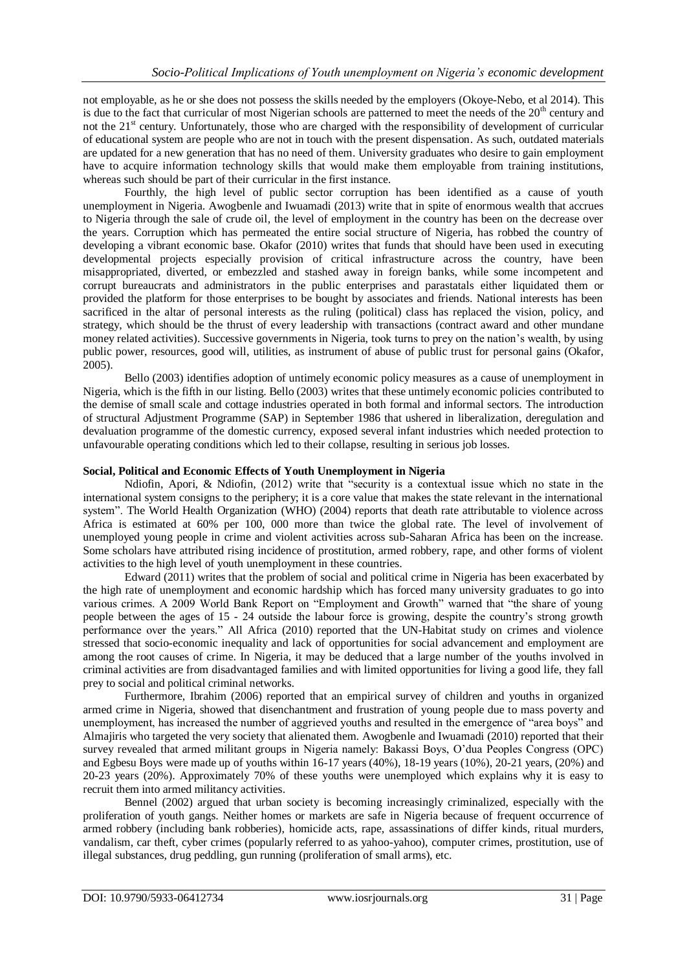not employable, as he or she does not possess the skills needed by the employers (Okoye-Nebo, et al 2014). This is due to the fact that curricular of most Nigerian schools are patterned to meet the needs of the  $20<sup>th</sup>$  century and not the  $21<sup>st</sup>$  century. Unfortunately, those who are charged with the responsibility of development of curricular of educational system are people who are not in touch with the present dispensation. As such, outdated materials are updated for a new generation that has no need of them. University graduates who desire to gain employment have to acquire information technology skills that would make them employable from training institutions, whereas such should be part of their curricular in the first instance.

Fourthly, the high level of public sector corruption has been identified as a cause of youth unemployment in Nigeria. Awogbenle and Iwuamadi (2013) write that in spite of enormous wealth that accrues to Nigeria through the sale of crude oil, the level of employment in the country has been on the decrease over the years. Corruption which has permeated the entire social structure of Nigeria, has robbed the country of developing a vibrant economic base. Okafor (2010) writes that funds that should have been used in executing developmental projects especially provision of critical infrastructure across the country, have been misappropriated, diverted, or embezzled and stashed away in foreign banks, while some incompetent and corrupt bureaucrats and administrators in the public enterprises and parastatals either liquidated them or provided the platform for those enterprises to be bought by associates and friends. National interests has been sacrificed in the altar of personal interests as the ruling (political) class has replaced the vision, policy, and strategy, which should be the thrust of every leadership with transactions (contract award and other mundane money related activities). Successive governments in Nigeria, took turns to prey on the nation"s wealth, by using public power, resources, good will, utilities, as instrument of abuse of public trust for personal gains (Okafor, 2005).

Bello (2003) identifies adoption of untimely economic policy measures as a cause of unemployment in Nigeria, which is the fifth in our listing. Bello (2003) writes that these untimely economic policies contributed to the demise of small scale and cottage industries operated in both formal and informal sectors. The introduction of structural Adjustment Programme (SAP) in September 1986 that ushered in liberalization, deregulation and devaluation programme of the domestic currency, exposed several infant industries which needed protection to unfavourable operating conditions which led to their collapse, resulting in serious job losses.

### **Social, Political and Economic Effects of Youth Unemployment in Nigeria**

Ndiofin, Apori, & Ndiofin, (2012) write that "security is a contextual issue which no state in the international system consigns to the periphery; it is a core value that makes the state relevant in the international system". The World Health Organization (WHO) (2004) reports that death rate attributable to violence across Africa is estimated at 60% per 100, 000 more than twice the global rate. The level of involvement of unemployed young people in crime and violent activities across sub-Saharan Africa has been on the increase. Some scholars have attributed rising incidence of prostitution, armed robbery, rape, and other forms of violent activities to the high level of youth unemployment in these countries.

Edward (2011) writes that the problem of social and political crime in Nigeria has been exacerbated by the high rate of unemployment and economic hardship which has forced many university graduates to go into various crimes. A 2009 World Bank Report on "Employment and Growth" warned that "the share of young people between the ages of 15 - 24 outside the labour force is growing, despite the country"s strong growth performance over the years." All Africa (2010) reported that the UN-Habitat study on crimes and violence stressed that socio-economic inequality and lack of opportunities for social advancement and employment are among the root causes of crime. In Nigeria, it may be deduced that a large number of the youths involved in criminal activities are from disadvantaged families and with limited opportunities for living a good life, they fall prey to social and political criminal networks.

Furthermore, Ibrahim (2006) reported that an empirical survey of children and youths in organized armed crime in Nigeria, showed that disenchantment and frustration of young people due to mass poverty and unemployment, has increased the number of aggrieved youths and resulted in the emergence of "area boys" and Almajiris who targeted the very society that alienated them. Awogbenle and Iwuamadi (2010) reported that their survey revealed that armed militant groups in Nigeria namely: Bakassi Boys, O"dua Peoples Congress (OPC) and Egbesu Boys were made up of youths within 16-17 years (40%), 18-19 years (10%), 20-21 years, (20%) and 20-23 years (20%). Approximately 70% of these youths were unemployed which explains why it is easy to recruit them into armed militancy activities.

Bennel (2002) argued that urban society is becoming increasingly criminalized, especially with the proliferation of youth gangs. Neither homes or markets are safe in Nigeria because of frequent occurrence of armed robbery (including bank robberies), homicide acts, rape, assassinations of differ kinds, ritual murders, vandalism, car theft, cyber crimes (popularly referred to as yahoo-yahoo), computer crimes, prostitution, use of illegal substances, drug peddling, gun running (proliferation of small arms), etc.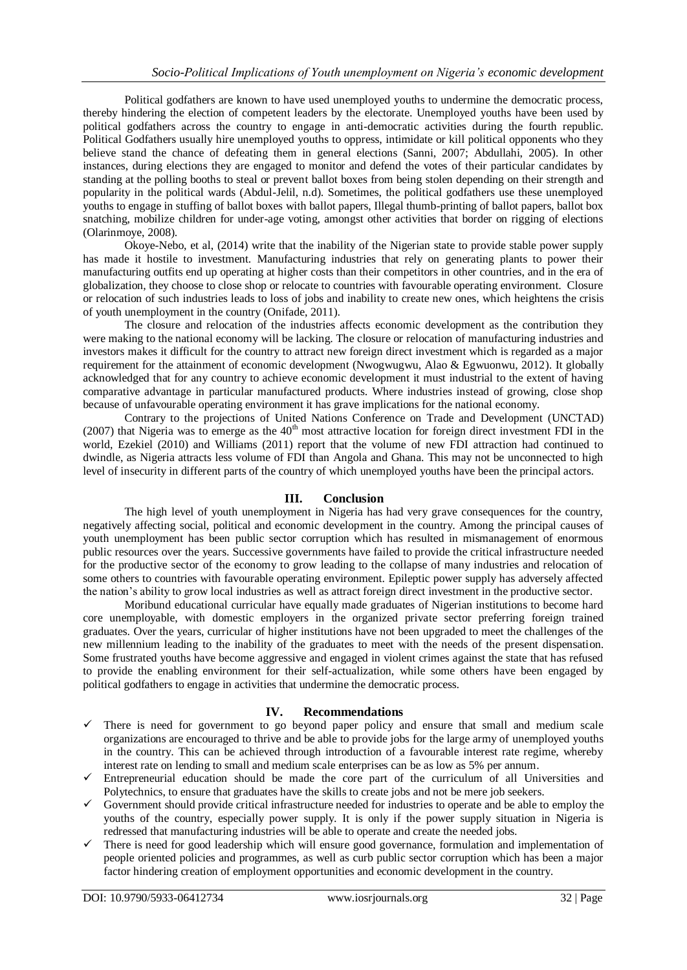Political godfathers are known to have used unemployed youths to undermine the democratic process, thereby hindering the election of competent leaders by the electorate. Unemployed youths have been used by political godfathers across the country to engage in anti-democratic activities during the fourth republic. Political Godfathers usually hire unemployed youths to oppress, intimidate or kill political opponents who they believe stand the chance of defeating them in general elections (Sanni, 2007; Abdullahi, 2005). In other instances, during elections they are engaged to monitor and defend the votes of their particular candidates by standing at the polling booths to steal or prevent ballot boxes from being stolen depending on their strength and popularity in the political wards (Abdul-Jelil, n.d). Sometimes, the political godfathers use these unemployed youths to engage in stuffing of ballot boxes with ballot papers, Illegal thumb-printing of ballot papers, ballot box snatching, mobilize children for under-age voting, amongst other activities that border on rigging of elections (Olarinmoye, 2008).

Okoye-Nebo, et al, (2014) write that the inability of the Nigerian state to provide stable power supply has made it hostile to investment. Manufacturing industries that rely on generating plants to power their manufacturing outfits end up operating at higher costs than their competitors in other countries, and in the era of globalization, they choose to close shop or relocate to countries with favourable operating environment. Closure or relocation of such industries leads to loss of jobs and inability to create new ones, which heightens the crisis of youth unemployment in the country (Onifade, 2011).

The closure and relocation of the industries affects economic development as the contribution they were making to the national economy will be lacking. The closure or relocation of manufacturing industries and investors makes it difficult for the country to attract new foreign direct investment which is regarded as a major requirement for the attainment of economic development (Nwogwugwu, Alao & Egwuonwu, 2012). It globally acknowledged that for any country to achieve economic development it must industrial to the extent of having comparative advantage in particular manufactured products. Where industries instead of growing, close shop because of unfavourable operating environment it has grave implications for the national economy.

Contrary to the projections of United Nations Conference on Trade and Development (UNCTAD) (2007) that Nigeria was to emerge as the  $40<sup>th</sup>$  most attractive location for foreign direct investment FDI in the world, Ezekiel (2010) and Williams (2011) report that the volume of new FDI attraction had continued to dwindle, as Nigeria attracts less volume of FDI than Angola and Ghana. This may not be unconnected to high level of insecurity in different parts of the country of which unemployed youths have been the principal actors.

## **III. Conclusion**

The high level of youth unemployment in Nigeria has had very grave consequences for the country, negatively affecting social, political and economic development in the country. Among the principal causes of youth unemployment has been public sector corruption which has resulted in mismanagement of enormous public resources over the years. Successive governments have failed to provide the critical infrastructure needed for the productive sector of the economy to grow leading to the collapse of many industries and relocation of some others to countries with favourable operating environment. Epileptic power supply has adversely affected the nation"s ability to grow local industries as well as attract foreign direct investment in the productive sector.

Moribund educational curricular have equally made graduates of Nigerian institutions to become hard core unemployable, with domestic employers in the organized private sector preferring foreign trained graduates. Over the years, curricular of higher institutions have not been upgraded to meet the challenges of the new millennium leading to the inability of the graduates to meet with the needs of the present dispensation. Some frustrated youths have become aggressive and engaged in violent crimes against the state that has refused to provide the enabling environment for their self-actualization, while some others have been engaged by political godfathers to engage in activities that undermine the democratic process.

## **IV. Recommendations**

- $\checkmark$  There is need for government to go beyond paper policy and ensure that small and medium scale organizations are encouraged to thrive and be able to provide jobs for the large army of unemployed youths in the country. This can be achieved through introduction of a favourable interest rate regime, whereby interest rate on lending to small and medium scale enterprises can be as low as 5% per annum.
- $\checkmark$  Entrepreneurial education should be made the core part of the curriculum of all Universities and Polytechnics, to ensure that graduates have the skills to create jobs and not be mere job seekers.
- Government should provide critical infrastructure needed for industries to operate and be able to employ the youths of the country, especially power supply. It is only if the power supply situation in Nigeria is redressed that manufacturing industries will be able to operate and create the needed jobs.
- $\checkmark$  There is need for good leadership which will ensure good governance, formulation and implementation of people oriented policies and programmes, as well as curb public sector corruption which has been a major factor hindering creation of employment opportunities and economic development in the country.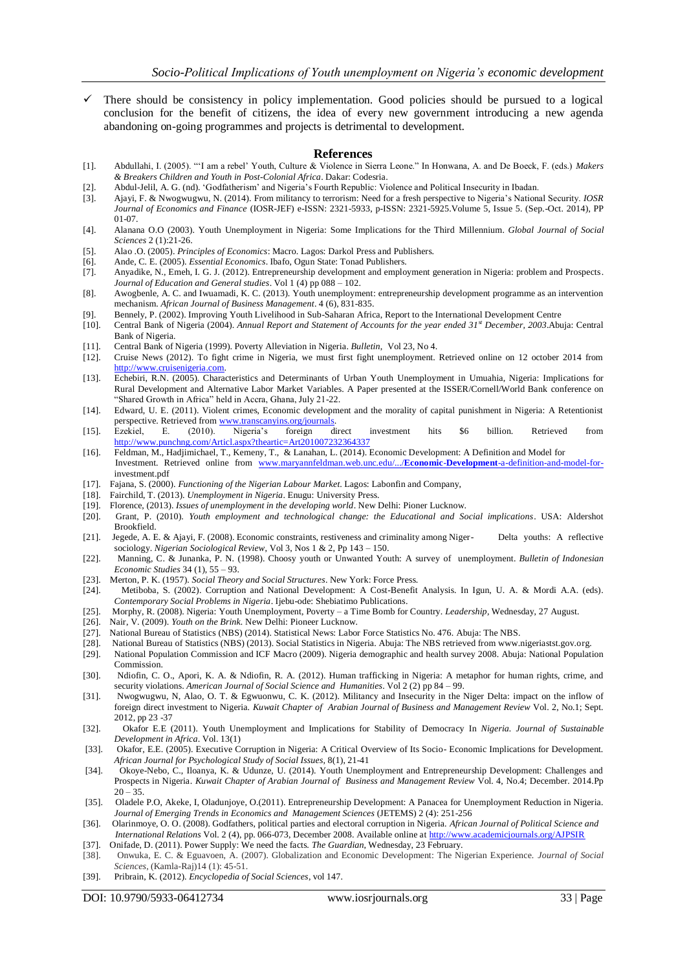$\checkmark$  There should be consistency in policy implementation. Good policies should be pursued to a logical conclusion for the benefit of citizens, the idea of every new government introducing a new agenda abandoning on-going programmes and projects is detrimental to development.

#### **References**

- [1]. Abdullahi, I. (2005). ""I am a rebel" Youth, Culture & Violence in Sierra Leone." In Honwana, A. and De Boeck, F. (eds.) *Makers & Breakers Children and Youth in Post-Colonial Africa*. Dakar: Codesria.
- [2]. Abdul-Jelil, A. G. (nd). "Godfatherism" and Nigeria"s Fourth Republic: Violence and Political Insecurity in Ibadan.
- [3]. Ajayi, F. & Nwogwugwu, N. (2014). From militancy to terrorism: Need for a fresh perspective to Nigeria"s National Security. *IOSR Journal of Economics and Finance* (IOSR-JEF) e-ISSN: 2321-5933, p-ISSN: 2321-5925.Volume 5, Issue 5. (Sep.-Oct. 2014), PP 01-07.
- [4]. Alanana O.O (2003). Youth Unemployment in Nigeria: Some Implications for the Third Millennium. *Global Journal of Social Sciences* 2 (1):21-26.
- [5]. Alao .O. (2005). *Principles of Economics*: Macro. Lagos: Darkol Press and Publishers.
- [6]. Ande, C. E. (2005). *Essential Economics*. Ibafo, Ogun State: Tonad Publishers.
- [7]. Anyadike, N., Emeh, I. G. J. (2012). Entrepreneurship development and employment generation in Nigeria: problem and Prospects. *Journal of Education and General studies*. Vol 1 (4) pp 088 – 102.
- [8]. Awogbenle, A. C. and Iwuamadi, K. C. (2013). Youth unemployment: entrepreneurship development programme as an intervention mechanism. *African Journal of Business Management*. 4 (6), 831-835.
- [9]. Bennely, P. (2002). Improving Youth Livelihood in Sub-Saharan Africa, Report to the International Development Centre
- [10]. Central Bank of Nigeria (2004). *Annual Report and Statement of Accounts for the year ended 31st December, 2003*.Abuja: Central Bank of Nigeria.
- [11]. Central Bank of Nigeria (1999). Poverty Alleviation in Nigeria. *Bulletin*, Vol 23, No 4.
- [12]. Cruise News (2012). To fight crime in Nigeria, we must first fight unemployment. Retrieved online on 12 october 2014 from [http://www.cruisenigeria.com.](http://www.cruisenigeria.com/)
- [13]. Echebiri, R.N. (2005). Characteristics and Determinants of Urban Youth Unemployment in Umuahia, Nigeria: Implications for Rural Development and Alternative Labor Market Variables. A Paper presented at the ISSER/Cornell/World Bank conference on "Shared Growth in Africa" held in Accra, Ghana, July 21-22.
- [14]. Edward, U. E. (2011). Violent crimes, Economic development and the morality of capital punishment in Nigeria: A Retentionist perspective. Retrieved fro[m www.transcanyins.org/journals.](http://www.transcanyins.org/journals)
- [15]. Ezekiel, E. (2010). Nigeria"s foreign direct investment hits \$6 billion. Retrieved from <http://www.punchng.com/Articl.aspx?theartic=Art201007232364337>
- [16]. Feldman, M., Hadjimichael, T., Kemeny, T., & Lanahan, L. (2014). Economic Development: A Definition and Model for Investment. Retrieved online from [www.maryannfeldman.web.unc.edu/.../](http://www.maryannfeldman.web.unc.edu/.../Economic-Development-a-definition-and-model-for-)**Economic**-**Development**-a-definition-and-model-forinvestment.pdf
- [17]. Fajana, S. (2000). *Functioning of the Nigerian Labour Market*. Lagos: Labonfin and Company,
- [18]. Fairchild, T. (2013). *Unemployment in Nigeria*. Enugu: University Press.
- [19]. Florence, (2013). *Issues of unemployment in the developing world*. New Delhi: Pioner Lucknow.
- [20]. Grant, P. (2010). *Youth employment and technological change: the Educational and Social implications*. USA: Aldershot Brookfield.
- [21]. Jegede, A. E. & Ajayi, F. (2008). Economic constraints, restiveness and criminality among Niger- Delta youths: A reflective sociology. *Nigerian Sociological Review*, Vol 3, Nos 1 & 2, Pp 143 – 150.
- [22]. Manning, C. & Junanka, P. N. (1998). Choosy youth or Unwanted Youth: A survey of unemployment. *Bulletin of Indonesian Economic Studies* 34 (1), 55 – 93.
- [23]. Merton, P. K. (1957). *Social Theory and Social Structures*. New York: Force Press.
- [24]. Metiboba, S. (2002). Corruption and National Development: A Cost-Benefit Analysis. In Igun, U. A. & Mordi A.A. (eds). *Contemporary Social Problems in Nigeria*. Ijebu-ode: Shebiatimo Publications.
- [25]. Morphy, R. (2008). Nigeria: Youth Unemployment, Poverty a Time Bomb for Country. *Leadership,* Wednesday, 27 August.
- [26]. Nair, V. (2009). *Youth on the Brink.* New Delhi: Pioneer Lucknow.
- [27]. National Bureau of Statistics (NBS) (2014). Statistical News: Labor Force Statistics No. 476. Abuja: The NBS.
- [28]. National Bureau of Statistics (NBS) (2013). Social Statistics in Nigeria. Abuja: The NBS retrieved from www.nigeriastst.gov.org.
- [29]. National Population Commission and ICF Macro (2009). Nigeria demographic and health survey 2008. Abuja: National Population Commission.
- [30]. Ndiofin, C. O., Apori, K. A. & Ndiofin, R. A. (2012). Human trafficking in Nigeria: A metaphor for human rights, crime, and security violations. *American Journal of Social Science and Humanities*. Vol 2 (2) pp 84 – 99.
- [31]. Nwogwugwu, N, Alao, O. T. & Egwuonwu, C. K. (2012). Militancy and Insecurity in the Niger Delta: impact on the inflow of foreign direct investment to Nigeria. *Kuwait Chapter of Arabian Journal of Business and Management Review* Vol. 2, No.1; Sept. 2012, pp 23 -37
- [32]. Okafor E.E (2011). Youth Unemployment and Implications for Stability of Democracy In *Nigeria. Journal of Sustainable Development in Africa*. Vol. 13(1)
- [33]. Okafor, E.E. (2005). Executive Corruption in Nigeria: A Critical Overview of Its Socio- Economic Implications for Development. *African Journal for Psychological Study of Social Issues,* 8(1), 21-41
- [34]. Okoye-Nebo, C., Iloanya, K. & Udunze, U. (2014). Youth Unemployment and Entrepreneurship Development: Challenges and Prospects in Nigeria. *Kuwait Chapter of Arabian Journal of Business and Management Review* Vol. 4, No.4; December. 2014.Pp  $20 - 35.$
- [35]. Oladele P.O, Akeke, I, Oladunjoye, O.(2011). Entrepreneurship Development: A Panacea for Unemployment Reduction in Nigeria. *Journal of Emerging Trends in Economics and Management Sciences* (JETEMS) 2 (4): 251-256
- [36]. Olarinmoye, O. O. (2008). Godfathers, political parties and electoral corruption in Nigeria. *African Journal of Political Science and International Relations* Vol. 2 (4), pp. 066-073, December 2008. Available online a[t http://www.academicjournals.org/AJPSIR](http://www.academicjournals.org/AJPSIR)
- [37]. Onifade, D. (2011). Power Supply: We need the facts. *The Guardian*, Wednesday, 23 February.
- [38]. Onwuka, E. C. & Eguavoen, A. (2007). Globalization and Economic Development: The Nigerian Experience. *Journal of Social Sciences*, (Kamla-Raj)14 (1): 45-51.
- [39]. Pribrain, K. (2012). *Encyclopedia of Social Sciences*, vol 147.